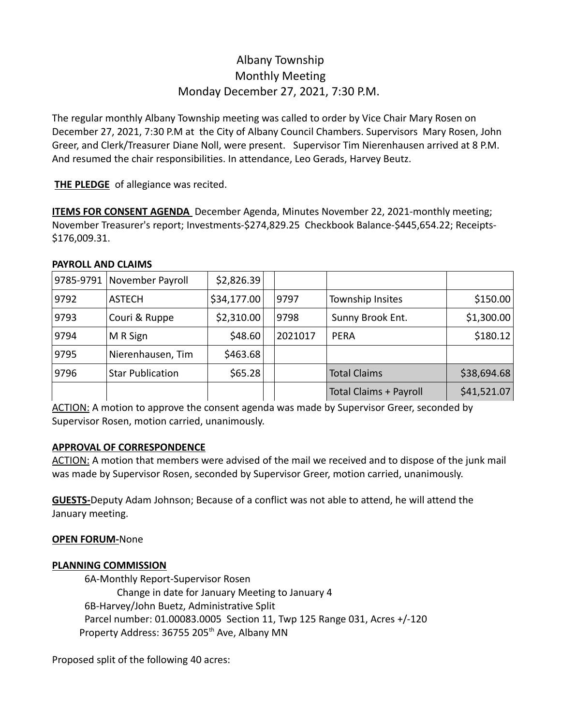# Albany Township Monthly Meeting Monday December 27, 2021, 7:30 P.M.

The regular monthly Albany Township meeting was called to order by Vice Chair Mary Rosen on December 27, 2021, 7:30 P.M at the City of Albany Council Chambers. Supervisors Mary Rosen, John Greer, and Clerk/Treasurer Diane Noll, were present. Supervisor Tim Nierenhausen arrived at 8 P.M. And resumed the chair responsibilities. In attendance, Leo Gerads, Harvey Beutz.

**THE PLEDGE** of allegiance was recited.

**ITEMS FOR CONSENT AGENDA** December Agenda, Minutes November 22, 2021-monthly meeting; November Treasurer's report; Investments-\$274,829.25 Checkbook Balance-\$445,654.22; Receipts- \$176,009.31.

## **PAYROLL AND CLAIMS**

|      | 9785-9791 November Payroll | \$2,826.39  |         |                               |             |
|------|----------------------------|-------------|---------|-------------------------------|-------------|
| 9792 | <b>ASTECH</b>              | \$34,177.00 | 9797    | Township Insites              | \$150.00    |
| 9793 | Couri & Ruppe              | \$2,310.00  | 9798    | Sunny Brook Ent.              | \$1,300.00  |
| 9794 | M R Sign                   | \$48.60     | 2021017 | <b>PERA</b>                   | \$180.12    |
| 9795 | Nierenhausen, Tim          | \$463.68    |         |                               |             |
| 9796 | <b>Star Publication</b>    | \$65.28     |         | <b>Total Claims</b>           | \$38,694.68 |
|      |                            |             |         | <b>Total Claims + Payroll</b> | \$41,521.07 |

ACTION: A motion to approve the consent agenda was made by Supervisor Greer, seconded by Supervisor Rosen, motion carried, unanimously.

#### **APPROVAL OF CORRESPONDENCE**

ACTION: A motion that members were advised of the mail we received and to dispose of the junk mail was made by Supervisor Rosen, seconded by Supervisor Greer, motion carried, unanimously.

**GUESTS-**Deputy Adam Johnson; Because of a conflict was not able to attend, he will attend the January meeting.

#### **OPEN FORUM-**None

#### **PLANNING COMMISSION**

6A-Monthly Report-Supervisor Rosen Change in date for January Meeting to January 4 6B-Harvey/John Buetz, Administrative Split Parcel number: 01.00083.0005 Section 11, Twp 125 Range 031, Acres +/-120 Property Address: 36755 205<sup>th</sup> Ave, Albany MN

Proposed split of the following 40 acres: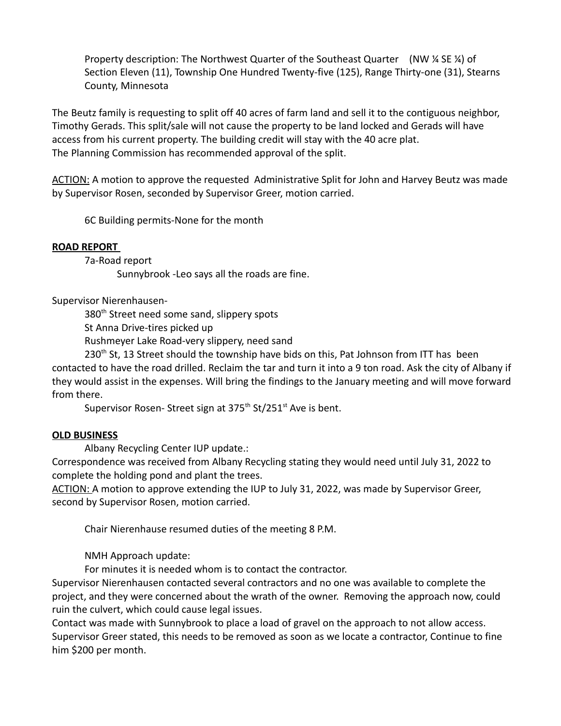Property description: The Northwest Quarter of the Southeast Quarter (NW ¼ SE ¼) of Section Eleven (11), Township One Hundred Twenty-five (125), Range Thirty-one (31), Stearns County, Minnesota

The Beutz family is requesting to split off 40 acres of farm land and sell it to the contiguous neighbor, Timothy Gerads. This split/sale will not cause the property to be land locked and Gerads will have access from his current property. The building credit will stay with the 40 acre plat. The Planning Commission has recommended approval of the split.

ACTION: A motion to approve the requested Administrative Split for John and Harvey Beutz was made by Supervisor Rosen, seconded by Supervisor Greer, motion carried.

6C Building permits-None for the month

#### **ROAD REPORT**

7a-Road report

Sunnybrook -Leo says all the roads are fine.

Supervisor Nierenhausen-

380<sup>th</sup> Street need some sand, slippery spots

St Anna Drive-tires picked up

Rushmeyer Lake Road-very slippery, need sand

230<sup>th</sup> St, 13 Street should the township have bids on this, Pat Johnson from ITT has been contacted to have the road drilled. Reclaim the tar and turn it into a 9 ton road. Ask the city of Albany if they would assist in the expenses. Will bring the findings to the January meeting and will move forward from there.

Supervisor Rosen- Street sign at  $375<sup>th</sup>$  St/251<sup>st</sup> Ave is bent.

#### **OLD BUSINESS**

Albany Recycling Center IUP update.:

Correspondence was received from Albany Recycling stating they would need until July 31, 2022 to complete the holding pond and plant the trees.

ACTION: A motion to approve extending the IUP to July 31, 2022, was made by Supervisor Greer, second by Supervisor Rosen, motion carried.

Chair Nierenhause resumed duties of the meeting 8 P.M.

NMH Approach update:

For minutes it is needed whom is to contact the contractor.

Supervisor Nierenhausen contacted several contractors and no one was available to complete the project, and they were concerned about the wrath of the owner. Removing the approach now, could ruin the culvert, which could cause legal issues.

Contact was made with Sunnybrook to place a load of gravel on the approach to not allow access. Supervisor Greer stated, this needs to be removed as soon as we locate a contractor, Continue to fine him \$200 per month.